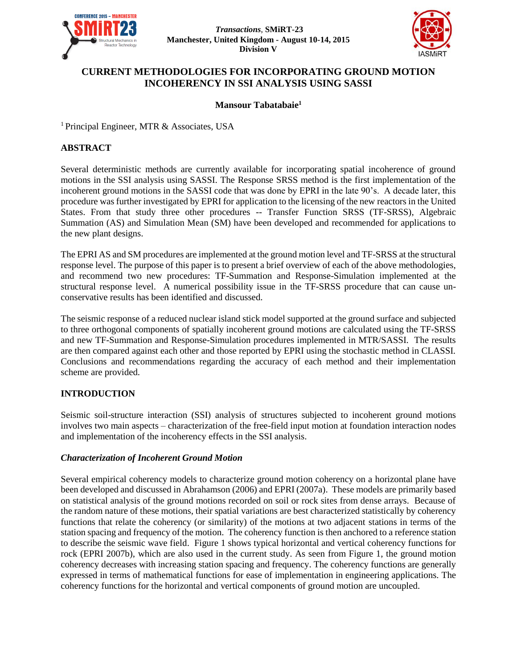



# **CURRENT METHODOLOGIES FOR INCORPORATING GROUND MOTION INCOHERENCY IN SSI ANALYSIS USING SASSI**

## **Mansour Tabatabaie<sup>1</sup>**

<sup>1</sup> Principal Engineer, MTR & Associates, USA

### **ABSTRACT**

Several deterministic methods are currently available for incorporating spatial incoherence of ground motions in the SSI analysis using SASSI. The Response SRSS method is the first implementation of the incoherent ground motions in the SASSI code that was done by EPRI in the late 90's. A decade later, this procedure was further investigated by EPRI for application to the licensing of the new reactors in the United States. From that study three other procedures -- Transfer Function SRSS (TF-SRSS), Algebraic Summation (AS) and Simulation Mean (SM) have been developed and recommended for applications to the new plant designs.

The EPRI AS and SM procedures are implemented at the ground motion level and TF-SRSS at the structural response level. The purpose of this paper is to present a brief overview of each of the above methodologies, and recommend two new procedures: TF-Summation and Response-Simulation implemented at the structural response level. A numerical possibility issue in the TF-SRSS procedure that can cause unconservative results has been identified and discussed.

The seismic response of a reduced nuclear island stick model supported at the ground surface and subjected to three orthogonal components of spatially incoherent ground motions are calculated using the TF-SRSS and new TF-Summation and Response-Simulation procedures implemented in MTR/SASSI. The results are then compared against each other and those reported by EPRI using the stochastic method in CLASSI. Conclusions and recommendations regarding the accuracy of each method and their implementation scheme are provided.

### **INTRODUCTION**

Seismic soil-structure interaction (SSI) analysis of structures subjected to incoherent ground motions involves two main aspects – characterization of the free-field input motion at foundation interaction nodes and implementation of the incoherency effects in the SSI analysis.

### *Characterization of Incoherent Ground Motion*

Several empirical coherency models to characterize ground motion coherency on a horizontal plane have been developed and discussed in Abrahamson (2006) and EPRI (2007a). These models are primarily based on statistical analysis of the ground motions recorded on soil or rock sites from dense arrays. Because of the random nature of these motions, their spatial variations are best characterized statistically by coherency functions that relate the coherency (or similarity) of the motions at two adjacent stations in terms of the station spacing and frequency of the motion. The coherency function is then anchored to a reference station to describe the seismic wave field. Figure 1 shows typical horizontal and vertical coherency functions for rock (EPRI 2007b), which are also used in the current study. As seen from Figure 1, the ground motion coherency decreases with increasing station spacing and frequency. The coherency functions are generally expressed in terms of mathematical functions for ease of implementation in engineering applications. The coherency functions for the horizontal and vertical components of ground motion are uncoupled.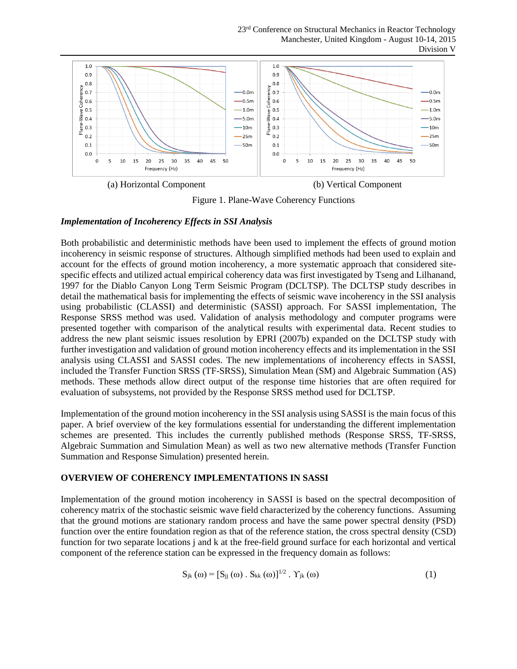

Figure 1. Plane-Wave Coherency Functions

### *Implementation of Incoherency Effects in SSI Analysis*

Both probabilistic and deterministic methods have been used to implement the effects of ground motion incoherency in seismic response of structures. Although simplified methods had been used to explain and account for the effects of ground motion incoherency, a more systematic approach that considered sitespecific effects and utilized actual empirical coherency data was first investigated by Tseng and Lilhanand, 1997 for the Diablo Canyon Long Term Seismic Program (DCLTSP). The DCLTSP study describes in detail the mathematical basis for implementing the effects of seismic wave incoherency in the SSI analysis using probabilistic (CLASSI) and deterministic (SASSI) approach. For SASSI implementation, The Response SRSS method was used. Validation of analysis methodology and computer programs were presented together with comparison of the analytical results with experimental data. Recent studies to address the new plant seismic issues resolution by EPRI (2007b) expanded on the DCLTSP study with further investigation and validation of ground motion incoherency effects and its implementation in the SSI analysis using CLASSI and SASSI codes. The new implementations of incoherency effects in SASSI, included the Transfer Function SRSS (TF-SRSS), Simulation Mean (SM) and Algebraic Summation (AS) methods. These methods allow direct output of the response time histories that are often required for evaluation of subsystems, not provided by the Response SRSS method used for DCLTSP.

Implementation of the ground motion incoherency in the SSI analysis using SASSI is the main focus of this paper. A brief overview of the key formulations essential for understanding the different implementation schemes are presented. This includes the currently published methods (Response SRSS, TF-SRSS, Algebraic Summation and Simulation Mean) as well as two new alternative methods (Transfer Function Summation and Response Simulation) presented herein.

### **OVERVIEW OF COHERENCY IMPLEMENTATIONS IN SASSI**

Implementation of the ground motion incoherency in SASSI is based on the spectral decomposition of coherency matrix of the stochastic seismic wave field characterized by the coherency functions. Assuming that the ground motions are stationary random process and have the same power spectral density (PSD) function over the entire foundation region as that of the reference station, the cross spectral density (CSD) function for two separate locations j and k at the free-field ground surface for each horizontal and vertical component of the reference station can be expressed in the frequency domain as follows:

$$
S_{jk}(\omega) = [S_{jj}(\omega) \cdot S_{kk}(\omega)]^{1/2} \cdot \Upsilon_{jk}(\omega)
$$
 (1)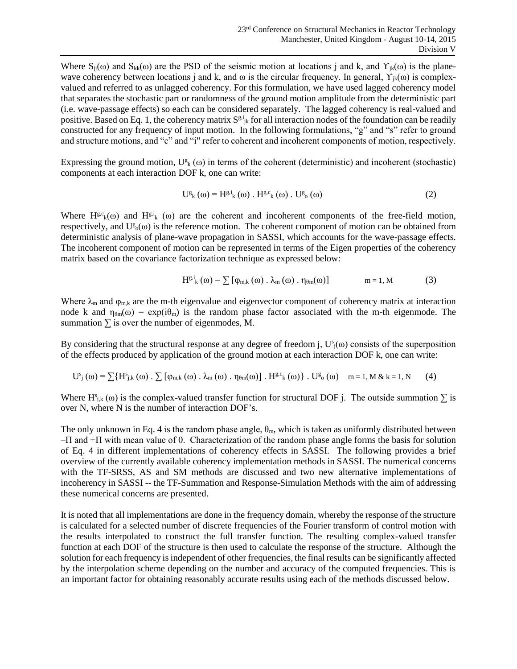Where  $S_{ji}(\omega)$  and  $S_{kk}(\omega)$  are the PSD of the seismic motion at locations j and k, and  $\Upsilon_{ik}(\omega)$  is the planewave coherency between locations j and k, and  $\omega$  is the circular frequency. In general,  $\Upsilon_{ik}(\omega)$  is complexvalued and referred to as unlagged coherency. For this formulation, we have used lagged coherency model that separates the stochastic part or randomness of the ground motion amplitude from the deterministic part (i.e. wave-passage effects) so each can be considered separately. The lagged coherency is real-valued and positive. Based on Eq. 1, the coherency matrix  $S^{g,i}{}_{jk}$  for all interaction nodes of the foundation can be readily constructed for any frequency of input motion. In the following formulations, "g" and "s" refer to ground and structure motions, and "c" and "i" refer to coherent and incoherent components of motion, respectively.

Expressing the ground motion,  $U_{k}^{g}(\omega)$  in terms of the coherent (deterministic) and incoherent (stochastic) components at each interaction DOF k, one can write:

$$
U_{k}^{s}(0) = H_{k}^{s,i}(0) \cdot H_{k}^{s,c}(0) \cdot U_{0}^{s}(0)
$$
\n
$$
(2)
$$

Where  $H^{g,c}(0)$  and  $H^{g,i}(0)$  are the coherent and incoherent components of the free-field motion, respectively, and  $U_{0}^{g}(\omega)$  is the reference motion. The coherent component of motion can be obtained from deterministic analysis of plane-wave propagation in SASSI, which accounts for the wave-passage effects. The incoherent component of motion can be represented in terms of the Eigen properties of the coherency matrix based on the covariance factorization technique as expressed below:

$$
H^{g,i}_{k}(\omega) = \sum [\varphi_{m,k}(\omega) \cdot \lambda_{m}(\omega) \cdot \eta_{\theta m}(\omega)] \qquad m = 1, M \qquad (3)
$$

Where  $\lambda_m$  and  $\varphi_{m,k}$  are the m-th eigenvalue and eigenvector component of coherency matrix at interaction node k and  $\eta_{\theta m}(\omega) = \exp(i\theta_m)$  is the random phase factor associated with the m-th eigenmode. The summation  $\Sigma$  is over the number of eigenmodes, M.

By considering that the structural response at any degree of freedom j,  $U^s$ <sub>j</sub>( $\omega$ ) consists of the superposition of the effects produced by application of the ground motion at each interaction DOF k, one can write:

$$
U_{j}^{s}(\omega) = \sum \{H_{j,k}^{s}(\omega) \cdot \sum [\varphi_{m,k}(\omega) \cdot \lambda_{m}(\omega) \cdot \eta_{\theta m}(\omega)] \cdot H^{g,c}_{k}(\omega) \} \cdot U_{0}^{g}(\omega) \quad m = 1, M \& k = 1, N \tag{4}
$$

Where  $H_{j,k}^s(\omega)$  is the complex-valued transfer function for structural DOF j. The outside summation  $\Sigma$  is over N, where N is the number of interaction DOF's.

The only unknown in Eq. 4 is the random phase angle,  $\theta_m$ , which is taken as uniformly distributed between –П and +П with mean value of 0. Characterization of the random phase angle forms the basis for solution of Eq. 4 in different implementations of coherency effects in SASSI. The following provides a brief overview of the currently available coherency implementation methods in SASSI. The numerical concerns with the TF-SRSS, AS and SM methods are discussed and two new alternative implementations of incoherency in SASSI -- the TF-Summation and Response-Simulation Methods with the aim of addressing these numerical concerns are presented.

It is noted that all implementations are done in the frequency domain, whereby the response of the structure is calculated for a selected number of discrete frequencies of the Fourier transform of control motion with the results interpolated to construct the full transfer function. The resulting complex-valued transfer function at each DOF of the structure is then used to calculate the response of the structure. Although the solution for each frequency is independent of other frequencies, the final results can be significantly affected by the interpolation scheme depending on the number and accuracy of the computed frequencies. This is an important factor for obtaining reasonably accurate results using each of the methods discussed below.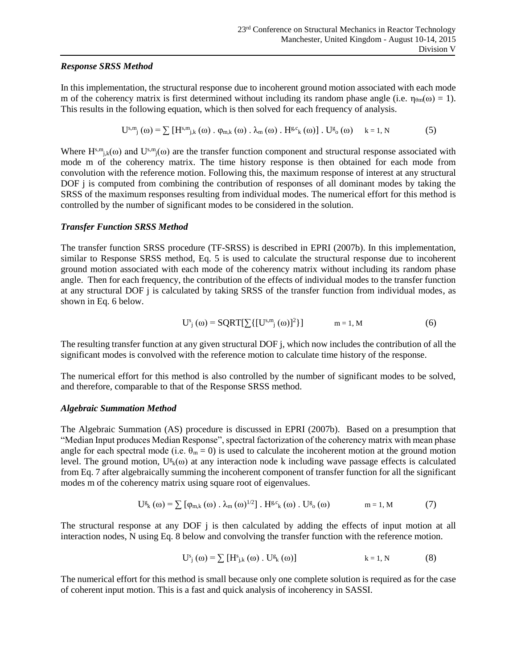### *Response SRSS Method*

In this implementation, the structural response due to incoherent ground motion associated with each mode m of the coherency matrix is first determined without including its random phase angle (i.e.  $n_{\theta m}(\omega) = 1$ ). This results in the following equation, which is then solved for each frequency of analysis.

$$
U^{s,m}_{j}(\omega) = \sum \left[ H^{s,m}_{j,k}(\omega) \, . \, \varphi_{m,k}(\omega) \, . \, \lambda_m(\omega) \, . \, H^{g,c}_{k}(\omega) \right] \, . \, U^{g}(\omega) \qquad k = 1, N \tag{5}
$$

Where  $H^{s,m}{}_{j,k}(\omega)$  and  $U^{s,m}{}_{j}(\omega)$  are the transfer function component and structural response associated with mode m of the coherency matrix. The time history response is then obtained for each mode from convolution with the reference motion. Following this, the maximum response of interest at any structural DOF *j* is computed from combining the contribution of responses of all dominant modes by taking the SRSS of the maximum responses resulting from individual modes. The numerical effort for this method is controlled by the number of significant modes to be considered in the solution.

### *Transfer Function SRSS Method*

The transfer function SRSS procedure (TF-SRSS) is described in EPRI (2007b). In this implementation, similar to Response SRSS method, Eq. 5 is used to calculate the structural response due to incoherent ground motion associated with each mode of the coherency matrix without including its random phase angle. Then for each frequency, the contribution of the effects of individual modes to the transfer function at any structural DOF j is calculated by taking SRSS of the transfer function from individual modes, as shown in Eq. 6 below.

$$
U_{j}^{s}(\omega) = SQRT[\sum\{[U^{s,m}_{j}(\omega)]^{2}\}] \qquad m = 1, M
$$
 (6)

The resulting transfer function at any given structural DOF j, which now includes the contribution of all the significant modes is convolved with the reference motion to calculate time history of the response.

The numerical effort for this method is also controlled by the number of significant modes to be solved, and therefore, comparable to that of the Response SRSS method.

### *Algebraic Summation Method*

The Algebraic Summation (AS) procedure is discussed in EPRI (2007b). Based on a presumption that "Median Input produces Median Response", spectral factorization of the coherency matrix with mean phase angle for each spectral mode (i.e.  $\theta_m = 0$ ) is used to calculate the incoherent motion at the ground motion level. The ground motion,  $U^g_k(\omega)$  at any interaction node k including wave passage effects is calculated from Eq. 7 after algebraically summing the incoherent component of transfer function for all the significant modes m of the coherency matrix using square root of eigenvalues.

$$
U_{k}^{g}(\omega) = \sum [\varphi_{m,k}(\omega) \cdot \lambda_{m}(\omega)^{1/2}] \cdot H^{g,c}( \omega) \cdot U_{o}^{g}(\omega) \qquad m = 1, M \tag{7}
$$

The structural response at any DOF j is then calculated by adding the effects of input motion at all interaction nodes, N using Eq. 8 below and convolving the transfer function with the reference motion.

$$
U_{j}^{s}(\omega) = \sum \left[ H_{j,k}^{s}(\omega) \cdot U_{k}^{g}(\omega) \right] \qquad k = 1, N \qquad (8)
$$

The numerical effort for this method is small because only one complete solution is required as for the case of coherent input motion. This is a fast and quick analysis of incoherency in SASSI.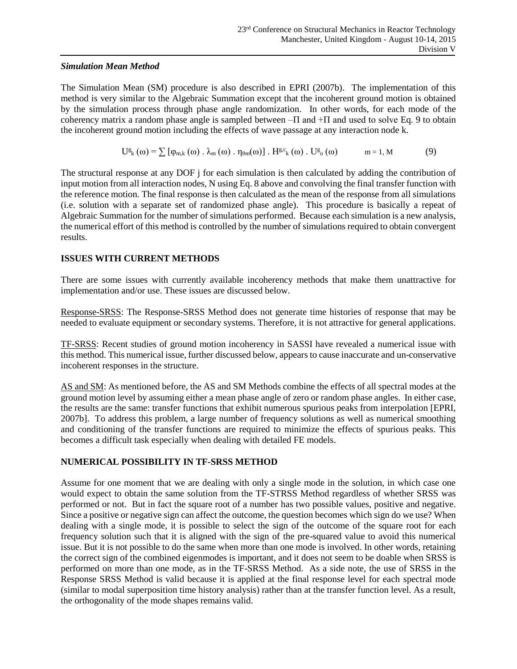## *Simulation Mean Method*

The Simulation Mean (SM) procedure is also described in EPRI (2007b). The implementation of this method is very similar to the Algebraic Summation except that the incoherent ground motion is obtained by the simulation process through phase angle randomization. In other words, for each mode of the coherency matrix a random phase angle is sampled between  $-\Pi$  and  $+\Pi$  and used to solve Eq. 9 to obtain the incoherent ground motion including the effects of wave passage at any interaction node k.

> $U_{k}^{g}(\omega) = \sum [\varphi_{m,k}(\omega) \cdot \lambda_{m}(\omega) \cdot \eta_{\theta m}(\omega)] \cdot H^{g,c}_{k}(\omega) \cdot U^{g}$  $m = 1, M$  (9)

The structural response at any DOF j for each simulation is then calculated by adding the contribution of input motion from all interaction nodes, N using Eq. 8 above and convolving the final transfer function with the reference motion. The final response is then calculated as the mean of the response from all simulations (i.e. solution with a separate set of randomized phase angle). This procedure is basically a repeat of Algebraic Summation for the number of simulations performed. Because each simulation is a new analysis, the numerical effort of this method is controlled by the number of simulations required to obtain convergent results.

# **ISSUES WITH CURRENT METHODS**

There are some issues with currently available incoherency methods that make them unattractive for implementation and/or use. These issues are discussed below.

Response-SRSS: The Response-SRSS Method does not generate time histories of response that may be needed to evaluate equipment or secondary systems. Therefore, it is not attractive for general applications.

TF-SRSS: Recent studies of ground motion incoherency in SASSI have revealed a numerical issue with this method. This numerical issue, further discussed below, appears to cause inaccurate and un-conservative incoherent responses in the structure.

AS and SM: As mentioned before, the AS and SM Methods combine the effects of all spectral modes at the ground motion level by assuming either a mean phase angle of zero or random phase angles. In either case, the results are the same: transfer functions that exhibit numerous spurious peaks from interpolation [EPRI, 2007b]. To address this problem, a large number of frequency solutions as well as numerical smoothing and conditioning of the transfer functions are required to minimize the effects of spurious peaks. This becomes a difficult task especially when dealing with detailed FE models.

# **NUMERICAL POSSIBILITY IN TF-SRSS METHOD**

Assume for one moment that we are dealing with only a single mode in the solution, in which case one would expect to obtain the same solution from the TF-STRSS Method regardless of whether SRSS was performed or not. But in fact the square root of a number has two possible values, positive and negative. Since a positive or negative sign can affect the outcome, the question becomes which sign do we use? When dealing with a single mode, it is possible to select the sign of the outcome of the square root for each frequency solution such that it is aligned with the sign of the pre-squared value to avoid this numerical issue. But it is not possible to do the same when more than one mode is involved. In other words, retaining the correct sign of the combined eigenmodes is important, and it does not seem to be doable when SRSS is performed on more than one mode, as in the TF-SRSS Method. As a side note, the use of SRSS in the Response SRSS Method is valid because it is applied at the final response level for each spectral mode (similar to modal superposition time history analysis) rather than at the transfer function level. As a result, the orthogonality of the mode shapes remains valid.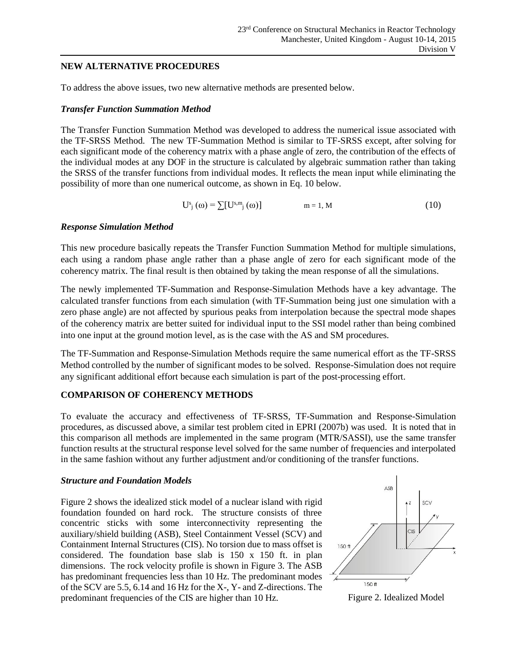### **NEW ALTERNATIVE PROCEDURES**

To address the above issues, two new alternative methods are presented below.

### *Transfer Function Summation Method*

The Transfer Function Summation Method was developed to address the numerical issue associated with the TF-SRSS Method. The new TF-Summation Method is similar to TF-SRSS except, after solving for each significant mode of the coherency matrix with a phase angle of zero, the contribution of the effects of the individual modes at any DOF in the structure is calculated by algebraic summation rather than taking the SRSS of the transfer functions from individual modes. It reflects the mean input while eliminating the possibility of more than one numerical outcome, as shown in Eq. 10 below.

$$
\mathbf{U}^{\mathbf{s}}_{j}(\omega) = \sum [\mathbf{U}^{\mathbf{s},\mathbf{m}}_{j}(\omega)] \qquad \mathbf{m} = 1, \mathbf{M} \tag{10}
$$

### *Response Simulation Method*

This new procedure basically repeats the Transfer Function Summation Method for multiple simulations, each using a random phase angle rather than a phase angle of zero for each significant mode of the coherency matrix. The final result is then obtained by taking the mean response of all the simulations.

The newly implemented TF-Summation and Response-Simulation Methods have a key advantage. The calculated transfer functions from each simulation (with TF-Summation being just one simulation with a zero phase angle) are not affected by spurious peaks from interpolation because the spectral mode shapes of the coherency matrix are better suited for individual input to the SSI model rather than being combined into one input at the ground motion level, as is the case with the AS and SM procedures.

The TF-Summation and Response-Simulation Methods require the same numerical effort as the TF-SRSS Method controlled by the number of significant modes to be solved. Response-Simulation does not require any significant additional effort because each simulation is part of the post-processing effort.

## **COMPARISON OF COHERENCY METHODS**

To evaluate the accuracy and effectiveness of TF-SRSS, TF-Summation and Response-Simulation procedures, as discussed above, a similar test problem cited in EPRI (2007b) was used. It is noted that in this comparison all methods are implemented in the same program (MTR/SASSI), use the same transfer function results at the structural response level solved for the same number of frequencies and interpolated in the same fashion without any further adjustment and/or conditioning of the transfer functions.

### *Structure and Foundation Models*

Figure 2 shows the idealized stick model of a nuclear island with rigid foundation founded on hard rock. The structure consists of three concentric sticks with some interconnectivity representing the auxiliary/shield building (ASB), Steel Containment Vessel (SCV) and Containment Internal Structures (CIS). No torsion due to mass offset is considered. The foundation base slab is 150 x 150 ft. in plan dimensions. The rock velocity profile is shown in Figure 3. The ASB has predominant frequencies less than 10 Hz. The predominant modes of the SCV are 5.5, 6.14 and 16 Hz for the X-, Y- and Z-directions. The predominant frequencies of the CIS are higher than 10 Hz. Figure 2. Idealized Model

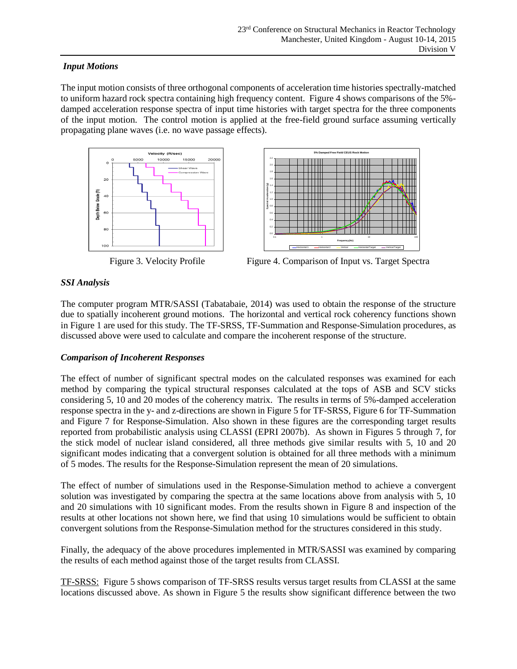## *Input Motions*

The input motion consists of three orthogonal components of acceleration time histories spectrally-matched to uniform hazard rock spectra containing high frequency content. Figure 4 shows comparisons of the 5% damped acceleration response spectra of input time histories with target spectra for the three components of the input motion. The control motion is applied at the free-field ground surface assuming vertically propagating plane waves (i.e. no wave passage effects).





**5% Damped Free Field CEUS Rock Motion**

Figure 3. Velocity Profile Figure 4. Comparison of Input vs. Target Spectra

# *SSI Analysis*

The computer program MTR/SASSI (Tabatabaie, 2014) was used to obtain the response of the structure due to spatially incoherent ground motions. The horizontal and vertical rock coherency functions shown in Figure 1 are used for this study. The TF-SRSS, TF-Summation and Response-Simulation procedures, as discussed above were used to calculate and compare the incoherent response of the structure.

# *Comparison of Incoherent Responses*

The effect of number of significant spectral modes on the calculated responses was examined for each method by comparing the typical structural responses calculated at the tops of ASB and SCV sticks considering 5, 10 and 20 modes of the coherency matrix. The results in terms of 5%-damped acceleration response spectra in the y- and z-directions are shown in Figure 5 for TF-SRSS, Figure 6 for TF-Summation and Figure 7 for Response-Simulation. Also shown in these figures are the corresponding target results reported from probabilistic analysis using CLASSI (EPRI 2007b). As shown in Figures 5 through 7, for the stick model of nuclear island considered, all three methods give similar results with 5, 10 and 20 significant modes indicating that a convergent solution is obtained for all three methods with a minimum of 5 modes. The results for the Response-Simulation represent the mean of 20 simulations.

The effect of number of simulations used in the Response-Simulation method to achieve a convergent solution was investigated by comparing the spectra at the same locations above from analysis with 5, 10 and 20 simulations with 10 significant modes. From the results shown in Figure 8 and inspection of the results at other locations not shown here, we find that using 10 simulations would be sufficient to obtain convergent solutions from the Response-Simulation method for the structures considered in this study.

Finally, the adequacy of the above procedures implemented in MTR/SASSI was examined by comparing the results of each method against those of the target results from CLASSI.

TF-SRSS: Figure 5 shows comparison of TF-SRSS results versus target results from CLASSI at the same locations discussed above. As shown in Figure 5 the results show significant difference between the two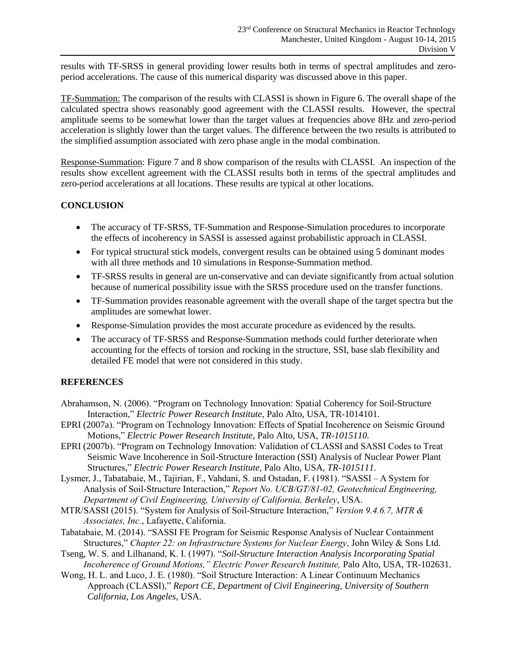results with TF-SRSS in general providing lower results both in terms of spectral amplitudes and zeroperiod accelerations. The cause of this numerical disparity was discussed above in this paper.

TF-Summation: The comparison of the results with CLASSI is shown in Figure 6. The overall shape of the calculated spectra shows reasonably good agreement with the CLASSI results. However, the spectral amplitude seems to be somewhat lower than the target values at frequencies above 8Hz and zero-period acceleration is slightly lower than the target values. The difference between the two results is attributed to the simplified assumption associated with zero phase angle in the modal combination.

Response-Summation: Figure 7 and 8 show comparison of the results with CLASSI. An inspection of the results show excellent agreement with the CLASSI results both in terms of the spectral amplitudes and zero-period accelerations at all locations. These results are typical at other locations.

# **CONCLUSION**

- The accuracy of TF-SRSS, TF-Summation and Response-Simulation procedures to incorporate the effects of incoherency in SASSI is assessed against probabilistic approach in CLASSI.
- For typical structural stick models, convergent results can be obtained using 5 dominant modes with all three methods and 10 simulations in Response-Summation method.
- TF-SRSS results in general are un-conservative and can deviate significantly from actual solution because of numerical possibility issue with the SRSS procedure used on the transfer functions.
- TF-Summation provides reasonable agreement with the overall shape of the target spectra but the amplitudes are somewhat lower.
- Response-Simulation provides the most accurate procedure as evidenced by the results.
- The accuracy of TF-SRSS and Response-Summation methods could further deteriorate when accounting for the effects of torsion and rocking in the structure, SSI, base slab flexibility and detailed FE model that were not considered in this study.

# **REFERENCES**

- Abrahamson, N. (2006). "Program on Technology Innovation: Spatial Coherency for Soil-Structure Interaction," *Electric Power Research Institute,* Palo Alto, USA, TR-1014101.
- EPRI (2007a). "Program on Technology Innovation: Effects of Spatial Incoherence on Seismic Ground Motions," *Electric Power Research Institute,* Palo Alto, USA, *TR-1015110.*
- EPRI (2007b). "Program on Technology Innovation: Validation of CLASSI and SASSI Codes to Treat Seismic Wave Incoherence in Soil-Structure Interaction (SSI) Analysis of Nuclear Power Plant Structures," *Electric Power Research Institute,* Palo Alto, USA, *TR-1015111*.
- Lysmer, J., Tabatabaie, M., Tajirian, F., Vahdani, S. and Ostadan, F. (1981). "SASSI A System for Analysis of Soil-Structure Interaction," *Report No. UCB/GT/81-02, Geotechnical Engineering, Department of Civil Engineering, University of California, Berkeley*, USA.
- MTR/SASSI (2015). "System for Analysis of Soil-Structure Interaction," *Version 9.4.6.7, MTR & Associates, Inc.*, Lafayette, California.
- Tabatabaie, M. (2014). "SASSI FE Program for Seismic Response Analysis of Nuclear Containment Structures," *Chapter 22: on Infrastructure Systems for Nuclear Energy*, John Wiley & Sons Ltd.
- Tseng, W. S. and Lilhanand, K. I. (1997). "*Soil-Structure Interaction Analysis Incorporating Spatial Incoherence of Ground Motions," Electric Power Research Institute, Palo Alto, USA, TR-102631.*
- Wong, H. L. and Luco, J. E. (1980). "Soil Structure Interaction: A Linear Continuum Mechanics Approach (CLASSI)," *Report CE, Department of Civil Engineering, University of Southern California, Los Angeles*, USA.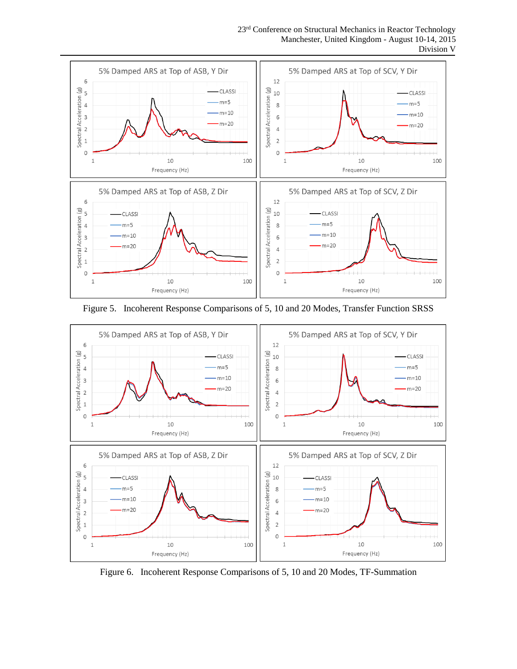23<sup>rd</sup> Conference on Structural Mechanics in Reactor Technology Manchester, United Kingdom - August 10-14, 2015 Division V



Figure 5. Incoherent Response Comparisons of 5, 10 and 20 Modes, Transfer Function SRSS



Figure 6. Incoherent Response Comparisons of 5, 10 and 20 Modes, TF-Summation